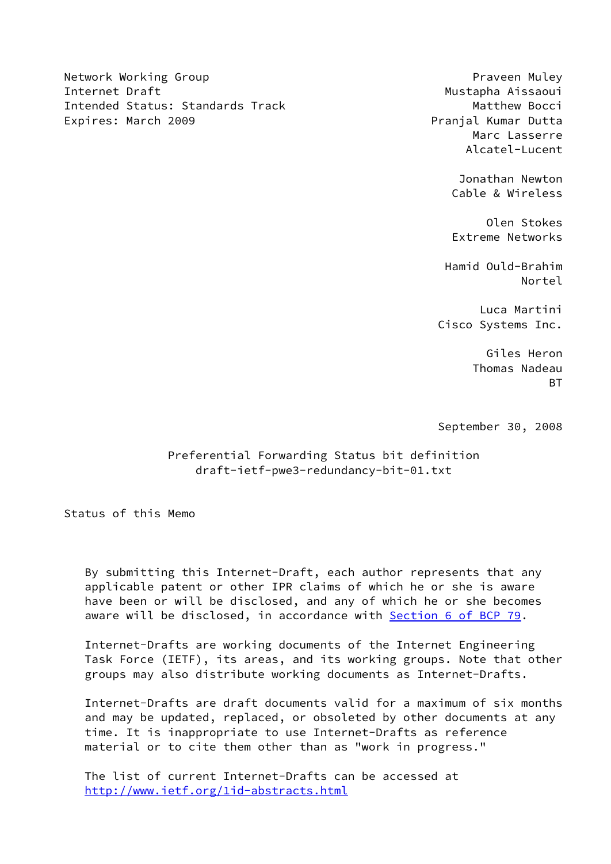Network Working Group Praveen Muley Praveen Muley Internet Draft Mustapha Aissaoui Intended Status: Standards Track Matthew Bocci Expires: March 2009 **Pranjal Kumar Dutta** 

 Marc Lasserre Alcatel-Lucent

> Jonathan Newton Cable & Wireless

> Olen Stokes Extreme Networks

 Hamid Ould-Brahim Nortel

> Luca Martini Cisco Systems Inc.

 Giles Heron Thomas Nadeau <u>BT and the state of the state of the state of the state of the state of the state of the state of the state of the state of the state of the state of the state of the state of the state of the state of the state of the st</u>

September 30, 2008

 Preferential Forwarding Status bit definition draft-ietf-pwe3-redundancy-bit-01.txt

Status of this Memo

 By submitting this Internet-Draft, each author represents that any applicable patent or other IPR claims of which he or she is aware have been or will be disclosed, and any of which he or she becomes aware will be disclosed, in accordance with **Section [6 of BCP 79.](https://datatracker.ietf.org/doc/pdf/bcp79#section-6)** 

 Internet-Drafts are working documents of the Internet Engineering Task Force (IETF), its areas, and its working groups. Note that other groups may also distribute working documents as Internet-Drafts.

 Internet-Drafts are draft documents valid for a maximum of six months and may be updated, replaced, or obsoleted by other documents at any time. It is inappropriate to use Internet-Drafts as reference material or to cite them other than as "work in progress."

 The list of current Internet-Drafts can be accessed at <http://www.ietf.org/1id-abstracts.html>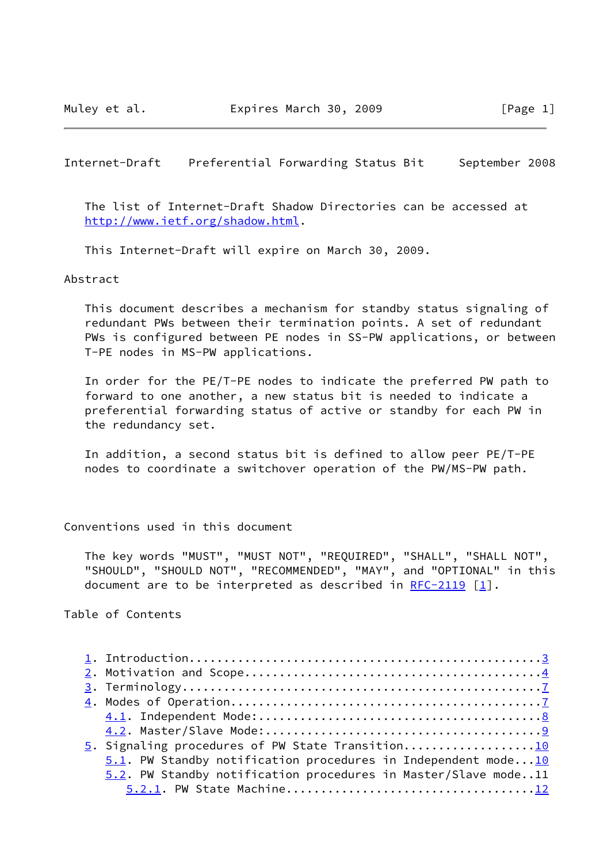Internet-Draft Preferential Forwarding Status Bit September 2008

 The list of Internet-Draft Shadow Directories can be accessed at <http://www.ietf.org/shadow.html>.

This Internet-Draft will expire on March 30, 2009.

#### Abstract

 This document describes a mechanism for standby status signaling of redundant PWs between their termination points. A set of redundant PWs is configured between PE nodes in SS-PW applications, or between T-PE nodes in MS-PW applications.

 In order for the PE/T-PE nodes to indicate the preferred PW path to forward to one another, a new status bit is needed to indicate a preferential forwarding status of active or standby for each PW in the redundancy set.

 In addition, a second status bit is defined to allow peer PE/T-PE nodes to coordinate a switchover operation of the PW/MS-PW path.

#### Conventions used in this document

 The key words "MUST", "MUST NOT", "REQUIRED", "SHALL", "SHALL NOT", "SHOULD", "SHOULD NOT", "RECOMMENDED", "MAY", and "OPTIONAL" in this document are to be interpreted as described in  $RFC-2119$  [\[1](#page-19-0)].

Table of Contents

| 5. Signaling procedures of PW State Transition10                    |
|---------------------------------------------------------------------|
| $5.1$ . PW Standby notification procedures in Independent mode $10$ |
| 5.2. PW Standby notification procedures in Master/Slave mode11      |
|                                                                     |
|                                                                     |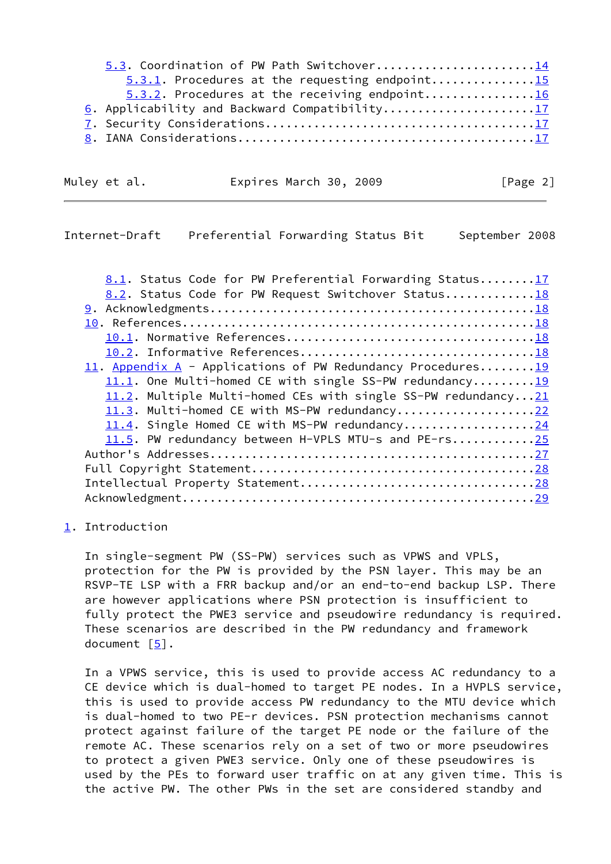| 5.3. Coordination of PW Path Switchover14         |  |
|---------------------------------------------------|--|
| $5.3.1$ . Procedures at the requesting endpoint15 |  |
| $5.3.2$ . Procedures at the receiving endpoint16  |  |
| 6. Applicability and Backward Compatibility17     |  |
|                                                   |  |
|                                                   |  |

| Muley et al. |  |  |
|--------------|--|--|
|              |  |  |

Expires March 30, 2009 [Page 2]

## <span id="page-2-1"></span>Internet-Draft Preferential Forwarding Status Bit September 2008

| 8.1. Status Code for PW Preferential Forwarding Status17      |
|---------------------------------------------------------------|
| 8.2. Status Code for PW Request Switchover Status18           |
|                                                               |
|                                                               |
|                                                               |
|                                                               |
| 11. Appendix $A$ - Applications of PW Redundancy Procedures19 |
| 11.1. One Multi-homed CE with single SS-PW redundancy19       |
| 11.2. Multiple Multi-homed CEs with single SS-PW redundancy21 |
| 11.3. Multi-homed CE with MS-PW redundancy22                  |
| 11.4. Single Homed CE with MS-PW redundancy24                 |
| 11.5. PW redundancy between H-VPLS MTU-s and PE-rs25          |
|                                                               |
|                                                               |
|                                                               |
|                                                               |
|                                                               |

# <span id="page-2-0"></span>[1](#page-2-0). Introduction

 In single-segment PW (SS-PW) services such as VPWS and VPLS, protection for the PW is provided by the PSN layer. This may be an RSVP-TE LSP with a FRR backup and/or an end-to-end backup LSP. There are however applications where PSN protection is insufficient to fully protect the PWE3 service and pseudowire redundancy is required. These scenarios are described in the PW redundancy and framework document  $[5]$ .

 In a VPWS service, this is used to provide access AC redundancy to a CE device which is dual-homed to target PE nodes. In a HVPLS service, this is used to provide access PW redundancy to the MTU device which is dual-homed to two PE-r devices. PSN protection mechanisms cannot protect against failure of the target PE node or the failure of the remote AC. These scenarios rely on a set of two or more pseudowires to protect a given PWE3 service. Only one of these pseudowires is used by the PEs to forward user traffic on at any given time. This is the active PW. The other PWs in the set are considered standby and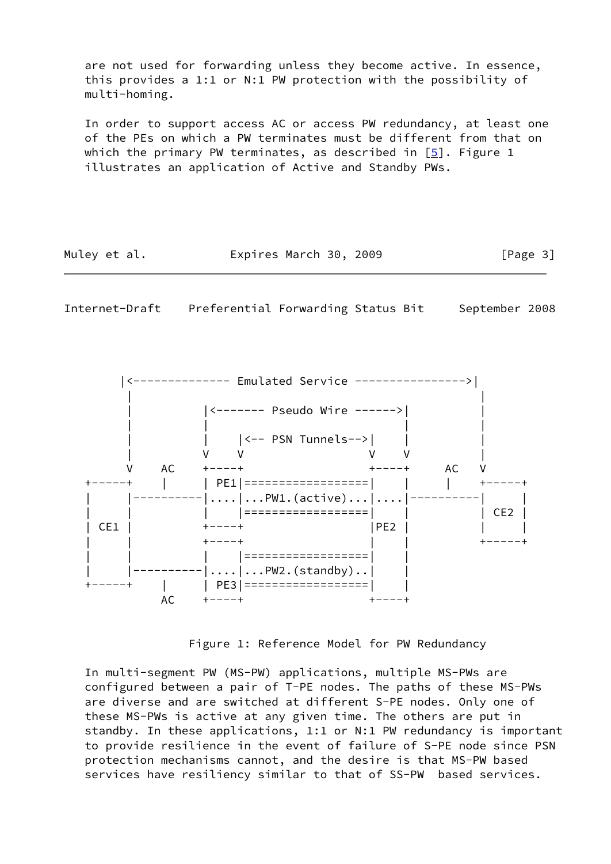are not used for forwarding unless they become active. In essence, this provides a 1:1 or N:1 PW protection with the possibility of multi-homing.

 In order to support access AC or access PW redundancy, at least one of the PEs on which a PW terminates must be different from that on which the primary PW terminates, as described in  $[5]$ . Figure 1 illustrates an application of Active and Standby PWs.

| Muley et al. | Expires March 30, 2009 |  | [Page 3] |
|--------------|------------------------|--|----------|
|--------------|------------------------|--|----------|

<span id="page-3-0"></span>Internet-Draft Preferential Forwarding Status Bit September 2008



Figure 1: Reference Model for PW Redundancy

 In multi-segment PW (MS-PW) applications, multiple MS-PWs are configured between a pair of T-PE nodes. The paths of these MS-PWs are diverse and are switched at different S-PE nodes. Only one of these MS-PWs is active at any given time. The others are put in standby. In these applications, 1:1 or N:1 PW redundancy is important to provide resilience in the event of failure of S-PE node since PSN protection mechanisms cannot, and the desire is that MS-PW based services have resiliency similar to that of SS-PW based services.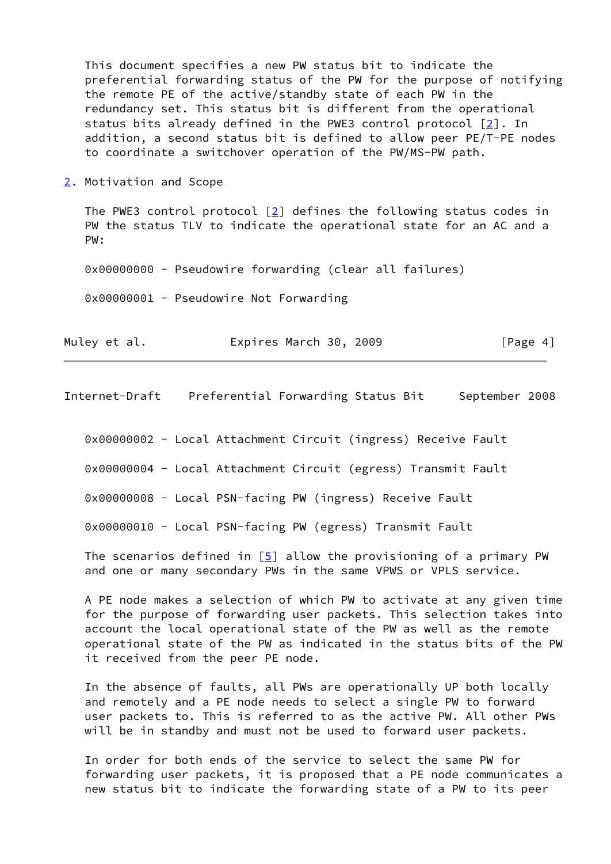This document specifies a new PW status bit to indicate the preferential forwarding status of the PW for the purpose of notifying the remote PE of the active/standby state of each PW in the redundancy set. This status bit is different from the operational status bits already defined in the PWE3 control protocol [\[2\]](#page-19-7). In addition, a second status bit is defined to allow peer PE/T-PE nodes to coordinate a switchover operation of the PW/MS-PW path.

<span id="page-4-0"></span>[2](#page-4-0). Motivation and Scope

The PWE3 control protocol  $\lceil 2 \rceil$  defines the following status codes in PW the status TLV to indicate the operational state for an AC and a PW:

0x00000000 - Pseudowire forwarding (clear all failures)

0x00000001 - Pseudowire Not Forwarding

|  | Muley et al. |  | Expires March 30, 2009 |  | [Page 4] |
|--|--------------|--|------------------------|--|----------|
|--|--------------|--|------------------------|--|----------|

Internet-Draft Preferential Forwarding Status Bit September 2008

0x00000002 - Local Attachment Circuit (ingress) Receive Fault

0x00000004 - Local Attachment Circuit (egress) Transmit Fault

0x00000008 - Local PSN-facing PW (ingress) Receive Fault

0x00000010 - Local PSN-facing PW (egress) Transmit Fault

The scenarios defined in  $[5]$  allow the provisioning of a primary PW and one or many secondary PWs in the same VPWS or VPLS service.

 A PE node makes a selection of which PW to activate at any given time for the purpose of forwarding user packets. This selection takes into account the local operational state of the PW as well as the remote operational state of the PW as indicated in the status bits of the PW it received from the peer PE node.

 In the absence of faults, all PWs are operationally UP both locally and remotely and a PE node needs to select a single PW to forward user packets to. This is referred to as the active PW. All other PWs will be in standby and must not be used to forward user packets.

 In order for both ends of the service to select the same PW for forwarding user packets, it is proposed that a PE node communicates a new status bit to indicate the forwarding state of a PW to its peer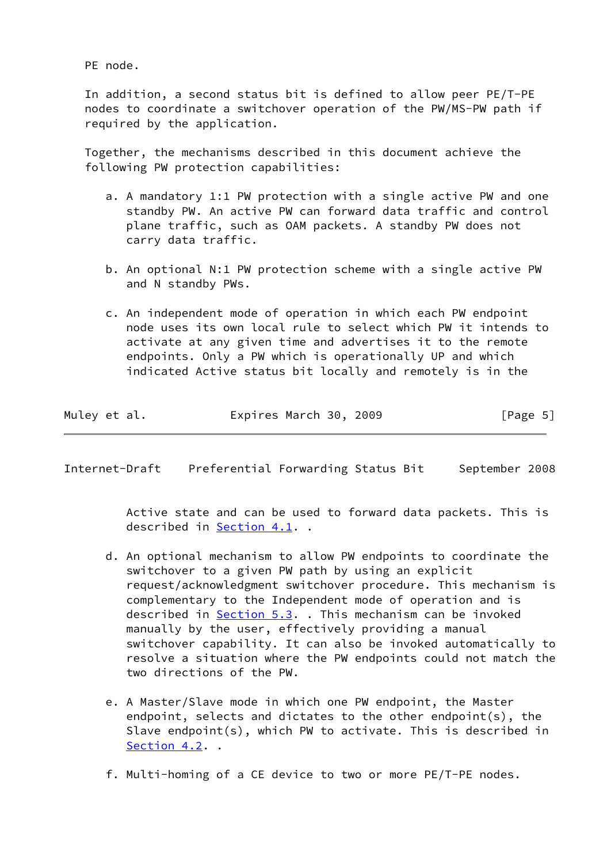PE node.

 In addition, a second status bit is defined to allow peer PE/T-PE nodes to coordinate a switchover operation of the PW/MS-PW path if required by the application.

 Together, the mechanisms described in this document achieve the following PW protection capabilities:

- a. A mandatory 1:1 PW protection with a single active PW and one standby PW. An active PW can forward data traffic and control plane traffic, such as OAM packets. A standby PW does not carry data traffic.
- b. An optional N:1 PW protection scheme with a single active PW and N standby PWs.
- c. An independent mode of operation in which each PW endpoint node uses its own local rule to select which PW it intends to activate at any given time and advertises it to the remote endpoints. Only a PW which is operationally UP and which indicated Active status bit locally and remotely is in the

| Muley et al. | Expires March 30, 2009 |  | [Page 5] |
|--------------|------------------------|--|----------|
|--------------|------------------------|--|----------|

Internet-Draft Preferential Forwarding Status Bit September 2008

 Active state and can be used to forward data packets. This is described in [Section 4.1](#page-7-1). .

- d. An optional mechanism to allow PW endpoints to coordinate the switchover to a given PW path by using an explicit request/acknowledgment switchover procedure. This mechanism is complementary to the Independent mode of operation and is described in [Section 5.3](#page-14-0). . This mechanism can be invoked manually by the user, effectively providing a manual switchover capability. It can also be invoked automatically to resolve a situation where the PW endpoints could not match the two directions of the PW.
- e. A Master/Slave mode in which one PW endpoint, the Master endpoint, selects and dictates to the other endpoint(s), the Slave endpoint(s), which PW to activate. This is described in [Section 4.2](#page-9-0). .
- f. Multi-homing of a CE device to two or more PE/T-PE nodes.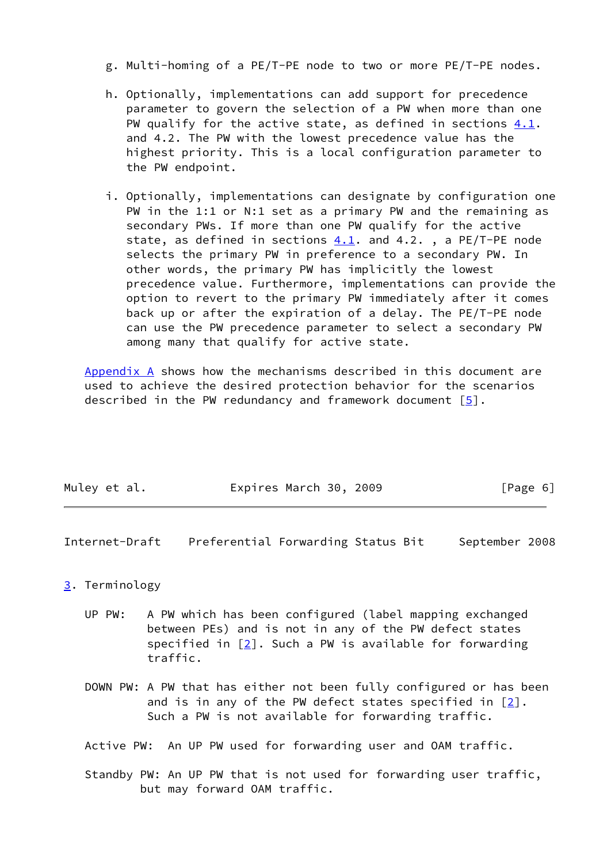- g. Multi-homing of a PE/T-PE node to two or more PE/T-PE nodes.
- h. Optionally, implementations can add support for precedence parameter to govern the selection of a PW when more than one PW qualify for the active state, as defined in sections [4.1](#page-7-1). and 4.2. The PW with the lowest precedence value has the highest priority. This is a local configuration parameter to the PW endpoint.
- i. Optionally, implementations can designate by configuration one PW in the 1:1 or N:1 set as a primary PW and the remaining as secondary PWs. If more than one PW qualify for the active state, as defined in sections  $4.1$ . and  $4.2$ ., a PE/T-PE node selects the primary PW in preference to a secondary PW. In other words, the primary PW has implicitly the lowest precedence value. Furthermore, implementations can provide the option to revert to the primary PW immediately after it comes back up or after the expiration of a delay. The PE/T-PE node can use the PW precedence parameter to select a secondary PW among many that qualify for active state.

Appendix A shows how the mechanisms described in this document are used to achieve the desired protection behavior for the scenarios described in the PW redundancy and framework document  $[5]$  $[5]$ .

| Muley et al. | Expires March 30, 2009 | [Page 6] |
|--------------|------------------------|----------|
|              |                        |          |

<span id="page-6-1"></span>Internet-Draft Preferential Forwarding Status Bit September 2008

### <span id="page-6-0"></span>[3](#page-6-0). Terminology

- UP PW: A PW which has been configured (label mapping exchanged between PEs) and is not in any of the PW defect states specified in  $[2]$  $[2]$ . Such a PW is available for forwarding traffic.
- DOWN PW: A PW that has either not been fully configured or has been and is in any of the PW defect states specified in [\[2](#page-19-7)]. Such a PW is not available for forwarding traffic.

Active PW: An UP PW used for forwarding user and OAM traffic.

 Standby PW: An UP PW that is not used for forwarding user traffic, but may forward OAM traffic.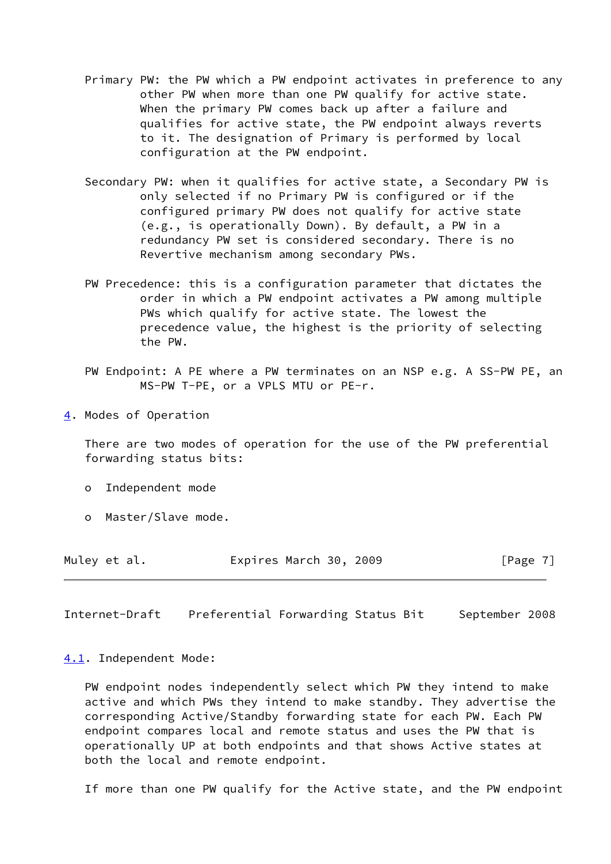- Primary PW: the PW which a PW endpoint activates in preference to any other PW when more than one PW qualify for active state. When the primary PW comes back up after a failure and qualifies for active state, the PW endpoint always reverts to it. The designation of Primary is performed by local configuration at the PW endpoint.
- Secondary PW: when it qualifies for active state, a Secondary PW is only selected if no Primary PW is configured or if the configured primary PW does not qualify for active state (e.g., is operationally Down). By default, a PW in a redundancy PW set is considered secondary. There is no Revertive mechanism among secondary PWs.
- PW Precedence: this is a configuration parameter that dictates the order in which a PW endpoint activates a PW among multiple PWs which qualify for active state. The lowest the precedence value, the highest is the priority of selecting the PW.
- PW Endpoint: A PE where a PW terminates on an NSP e.g. A SS-PW PE, an MS-PW T-PE, or a VPLS MTU or PE-r.
- <span id="page-7-0"></span>[4](#page-7-0). Modes of Operation

 There are two modes of operation for the use of the PW preferential forwarding status bits:

- o Independent mode
- o Master/Slave mode.

| Muley et al. | Expires March 30, 2009 | [Page 7] |
|--------------|------------------------|----------|
|--------------|------------------------|----------|

<span id="page-7-2"></span>Internet-Draft Preferential Forwarding Status Bit September 2008

#### <span id="page-7-1"></span>[4.1](#page-7-1). Independent Mode:

 PW endpoint nodes independently select which PW they intend to make active and which PWs they intend to make standby. They advertise the corresponding Active/Standby forwarding state for each PW. Each PW endpoint compares local and remote status and uses the PW that is operationally UP at both endpoints and that shows Active states at both the local and remote endpoint.

If more than one PW qualify for the Active state, and the PW endpoint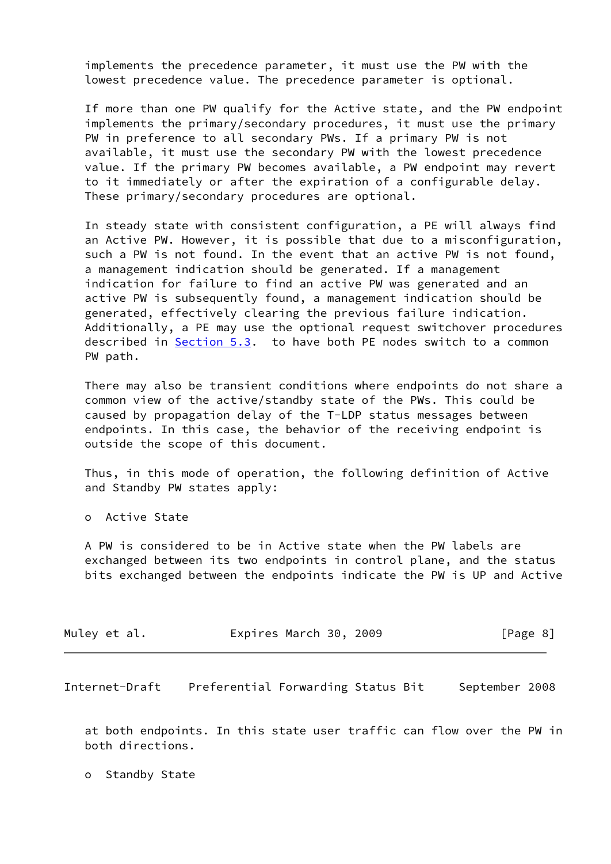implements the precedence parameter, it must use the PW with the lowest precedence value. The precedence parameter is optional.

 If more than one PW qualify for the Active state, and the PW endpoint implements the primary/secondary procedures, it must use the primary PW in preference to all secondary PWs. If a primary PW is not available, it must use the secondary PW with the lowest precedence value. If the primary PW becomes available, a PW endpoint may revert to it immediately or after the expiration of a configurable delay. These primary/secondary procedures are optional.

 In steady state with consistent configuration, a PE will always find an Active PW. However, it is possible that due to a misconfiguration, such a PW is not found. In the event that an active PW is not found, a management indication should be generated. If a management indication for failure to find an active PW was generated and an active PW is subsequently found, a management indication should be generated, effectively clearing the previous failure indication. Additionally, a PE may use the optional request switchover procedures described in [Section 5.3](#page-14-0). to have both PE nodes switch to a common PW path.

 There may also be transient conditions where endpoints do not share a common view of the active/standby state of the PWs. This could be caused by propagation delay of the T-LDP status messages between endpoints. In this case, the behavior of the receiving endpoint is outside the scope of this document.

 Thus, in this mode of operation, the following definition of Active and Standby PW states apply:

o Active State

 A PW is considered to be in Active state when the PW labels are exchanged between its two endpoints in control plane, and the status bits exchanged between the endpoints indicate the PW is UP and Active

| Expires March 30, 2009<br>Muley et al.<br>[Page 8] |  |
|----------------------------------------------------|--|
|----------------------------------------------------|--|

<span id="page-8-0"></span>Internet-Draft Preferential Forwarding Status Bit September 2008

 at both endpoints. In this state user traffic can flow over the PW in both directions.

o Standby State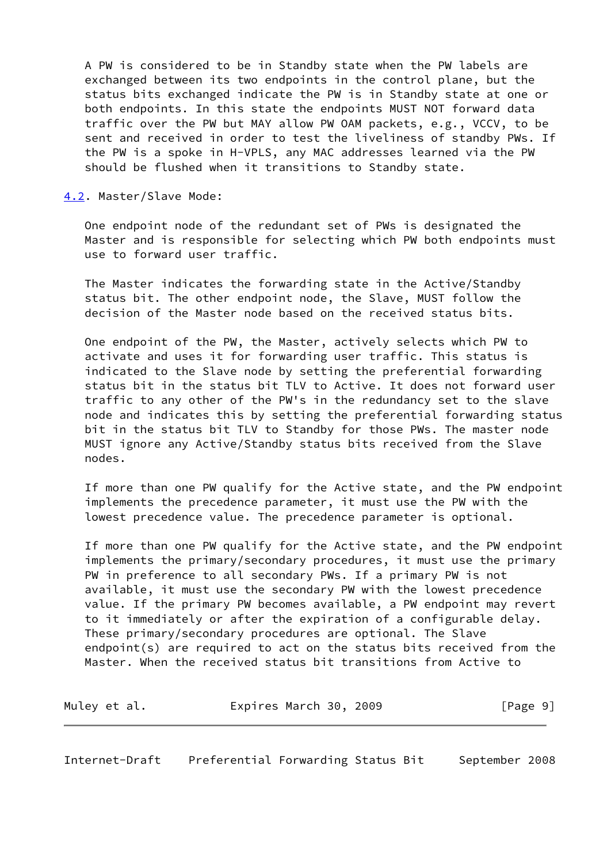A PW is considered to be in Standby state when the PW labels are exchanged between its two endpoints in the control plane, but the status bits exchanged indicate the PW is in Standby state at one or both endpoints. In this state the endpoints MUST NOT forward data traffic over the PW but MAY allow PW OAM packets, e.g., VCCV, to be sent and received in order to test the liveliness of standby PWs. If the PW is a spoke in H-VPLS, any MAC addresses learned via the PW should be flushed when it transitions to Standby state.

<span id="page-9-0"></span>[4.2](#page-9-0). Master/Slave Mode:

 One endpoint node of the redundant set of PWs is designated the Master and is responsible for selecting which PW both endpoints must use to forward user traffic.

 The Master indicates the forwarding state in the Active/Standby status bit. The other endpoint node, the Slave, MUST follow the decision of the Master node based on the received status bits.

 One endpoint of the PW, the Master, actively selects which PW to activate and uses it for forwarding user traffic. This status is indicated to the Slave node by setting the preferential forwarding status bit in the status bit TLV to Active. It does not forward user traffic to any other of the PW's in the redundancy set to the slave node and indicates this by setting the preferential forwarding status bit in the status bit TLV to Standby for those PWs. The master node MUST ignore any Active/Standby status bits received from the Slave nodes.

 If more than one PW qualify for the Active state, and the PW endpoint implements the precedence parameter, it must use the PW with the lowest precedence value. The precedence parameter is optional.

 If more than one PW qualify for the Active state, and the PW endpoint implements the primary/secondary procedures, it must use the primary PW in preference to all secondary PWs. If a primary PW is not available, it must use the secondary PW with the lowest precedence value. If the primary PW becomes available, a PW endpoint may revert to it immediately or after the expiration of a configurable delay. These primary/secondary procedures are optional. The Slave endpoint(s) are required to act on the status bits received from the Master. When the received status bit transitions from Active to

| Muley et al. | Expires March 30, 2009 |  | [Page 9] |
|--------------|------------------------|--|----------|
|--------------|------------------------|--|----------|

<span id="page-9-1"></span>Internet-Draft Preferential Forwarding Status Bit September 2008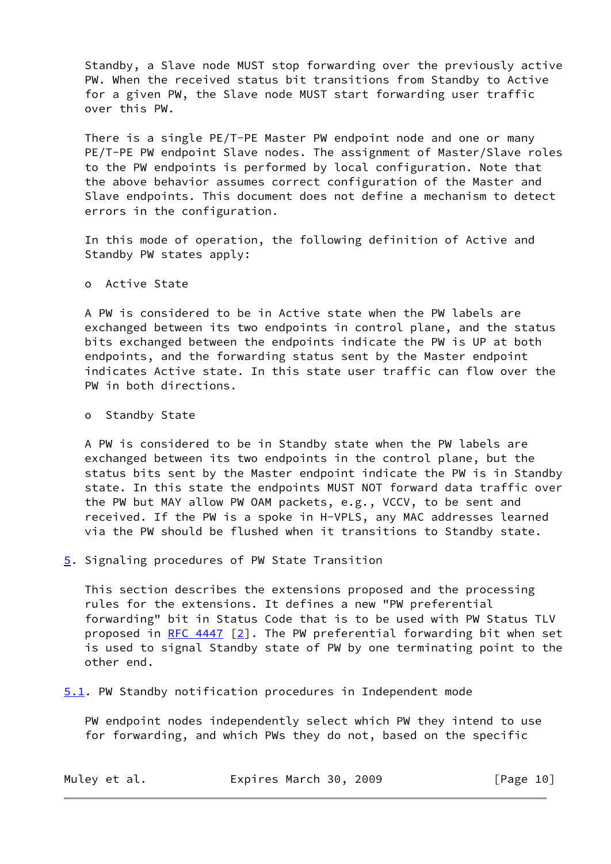Standby, a Slave node MUST stop forwarding over the previously active PW. When the received status bit transitions from Standby to Active for a given PW, the Slave node MUST start forwarding user traffic over this PW.

 There is a single PE/T-PE Master PW endpoint node and one or many PE/T-PE PW endpoint Slave nodes. The assignment of Master/Slave roles to the PW endpoints is performed by local configuration. Note that the above behavior assumes correct configuration of the Master and Slave endpoints. This document does not define a mechanism to detect errors in the configuration.

 In this mode of operation, the following definition of Active and Standby PW states apply:

o Active State

 A PW is considered to be in Active state when the PW labels are exchanged between its two endpoints in control plane, and the status bits exchanged between the endpoints indicate the PW is UP at both endpoints, and the forwarding status sent by the Master endpoint indicates Active state. In this state user traffic can flow over the PW in both directions.

o Standby State

 A PW is considered to be in Standby state when the PW labels are exchanged between its two endpoints in the control plane, but the status bits sent by the Master endpoint indicate the PW is in Standby state. In this state the endpoints MUST NOT forward data traffic over the PW but MAY allow PW OAM packets, e.g., VCCV, to be sent and received. If the PW is a spoke in H-VPLS, any MAC addresses learned via the PW should be flushed when it transitions to Standby state.

<span id="page-10-0"></span>[5](#page-10-0). Signaling procedures of PW State Transition

 This section describes the extensions proposed and the processing rules for the extensions. It defines a new "PW preferential forwarding" bit in Status Code that is to be used with PW Status TLV proposed in RFC  $4447$  [\[2\]](#page-19-7). The PW preferential forwarding bit when set is used to signal Standby state of PW by one terminating point to the other end.

<span id="page-10-1"></span>[5.1](#page-10-1). PW Standby notification procedures in Independent mode

 PW endpoint nodes independently select which PW they intend to use for forwarding, and which PWs they do not, based on the specific

| Muley et al. | Expires March 30, 2009 |  | [Page 10] |
|--------------|------------------------|--|-----------|
|--------------|------------------------|--|-----------|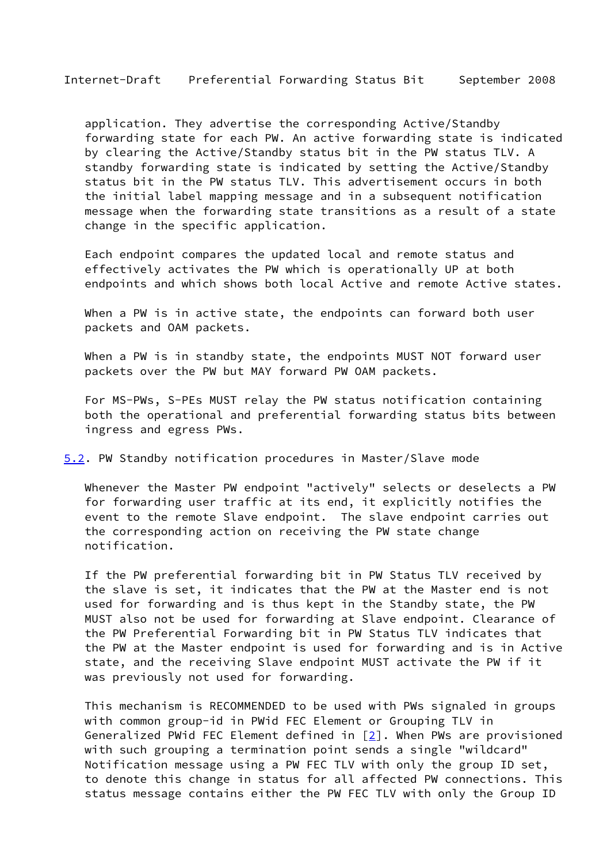application. They advertise the corresponding Active/Standby forwarding state for each PW. An active forwarding state is indicated by clearing the Active/Standby status bit in the PW status TLV. A standby forwarding state is indicated by setting the Active/Standby status bit in the PW status TLV. This advertisement occurs in both the initial label mapping message and in a subsequent notification message when the forwarding state transitions as a result of a state change in the specific application.

 Each endpoint compares the updated local and remote status and effectively activates the PW which is operationally UP at both endpoints and which shows both local Active and remote Active states.

 When a PW is in active state, the endpoints can forward both user packets and OAM packets.

 When a PW is in standby state, the endpoints MUST NOT forward user packets over the PW but MAY forward PW OAM packets.

 For MS-PWs, S-PEs MUST relay the PW status notification containing both the operational and preferential forwarding status bits between ingress and egress PWs.

<span id="page-11-0"></span>[5.2](#page-11-0). PW Standby notification procedures in Master/Slave mode

 Whenever the Master PW endpoint "actively" selects or deselects a PW for forwarding user traffic at its end, it explicitly notifies the event to the remote Slave endpoint. The slave endpoint carries out the corresponding action on receiving the PW state change notification.

 If the PW preferential forwarding bit in PW Status TLV received by the slave is set, it indicates that the PW at the Master end is not used for forwarding and is thus kept in the Standby state, the PW MUST also not be used for forwarding at Slave endpoint. Clearance of the PW Preferential Forwarding bit in PW Status TLV indicates that the PW at the Master endpoint is used for forwarding and is in Active state, and the receiving Slave endpoint MUST activate the PW if it was previously not used for forwarding.

 This mechanism is RECOMMENDED to be used with PWs signaled in groups with common group-id in PWid FEC Element or Grouping TLV in Generalized PWid FEC Element defined in  $[2]$  $[2]$ . When PWs are provisioned with such grouping a termination point sends a single "wildcard" Notification message using a PW FEC TLV with only the group ID set, to denote this change in status for all affected PW connections. This status message contains either the PW FEC TLV with only the Group ID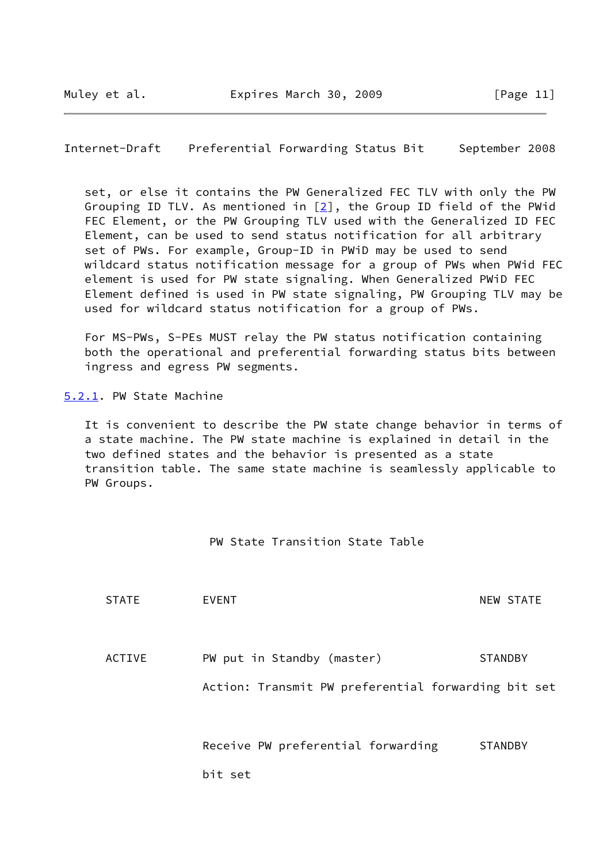<span id="page-12-1"></span>Internet-Draft Preferential Forwarding Status Bit September 2008

 set, or else it contains the PW Generalized FEC TLV with only the PW Grouping ID TLV. As mentioned in [\[2\]](#page-19-7), the Group ID field of the PWid FEC Element, or the PW Grouping TLV used with the Generalized ID FEC Element, can be used to send status notification for all arbitrary set of PWs. For example, Group-ID in PWiD may be used to send wildcard status notification message for a group of PWs when PWid FEC element is used for PW state signaling. When Generalized PWiD FEC Element defined is used in PW state signaling, PW Grouping TLV may be used for wildcard status notification for a group of PWs.

 For MS-PWs, S-PEs MUST relay the PW status notification containing both the operational and preferential forwarding status bits between ingress and egress PW segments.

<span id="page-12-0"></span>[5.2.1](#page-12-0). PW State Machine

 It is convenient to describe the PW state change behavior in terms of a state machine. The PW state machine is explained in detail in the two defined states and the behavior is presented as a state transition table. The same state machine is seamlessly applicable to PW Groups.

PW State Transition State Table

| <b>STATE</b> | EVENT                                               | <b>NEW STATE</b> |
|--------------|-----------------------------------------------------|------------------|
|              |                                                     |                  |
| ACTIVE       | PW put in Standby (master)                          | <b>STANDBY</b>   |
|              | Action: Transmit PW preferential forwarding bit set |                  |
|              |                                                     |                  |
|              | Receive PW preferential forwarding                  | <b>STANDBY</b>   |
|              | bit set                                             |                  |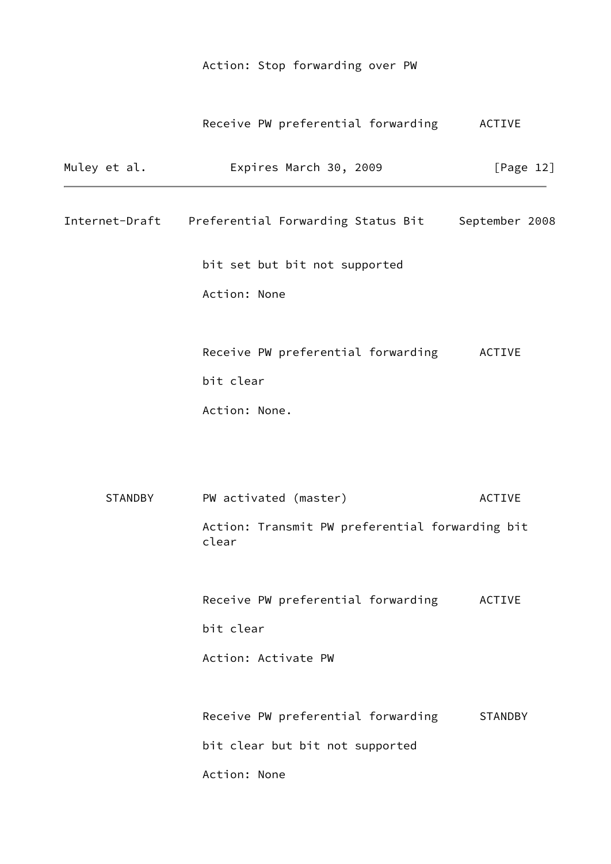# Action: Stop forwarding over PW

# Receive PW preferential forwarding ACTIVE

| Muley et al. | Expires March 30, 2009                                           | [Page $12$ ]   |
|--------------|------------------------------------------------------------------|----------------|
|              | Internet-Draft Preferential Forwarding Status Bit September 2008 |                |
|              | bit set but bit not supported                                    |                |
|              | Action: None                                                     |                |
|              | Receive PW preferential forwarding                               | ACTIVE         |
|              | bit clear                                                        |                |
|              | Action: None.                                                    |                |
| STANDBY      | PW activated (master)                                            | <b>ACTIVE</b>  |
|              | Action: Transmit PW preferential forwarding bit<br>clear         |                |
|              | Receive PW preferential forwarding                               | ACTIVE         |
|              | bit clear                                                        |                |
|              | Action: Activate PW                                              |                |
|              | Receive PW preferential forwarding                               | <b>STANDBY</b> |
|              | bit clear but bit not supported                                  |                |
|              | Action: None                                                     |                |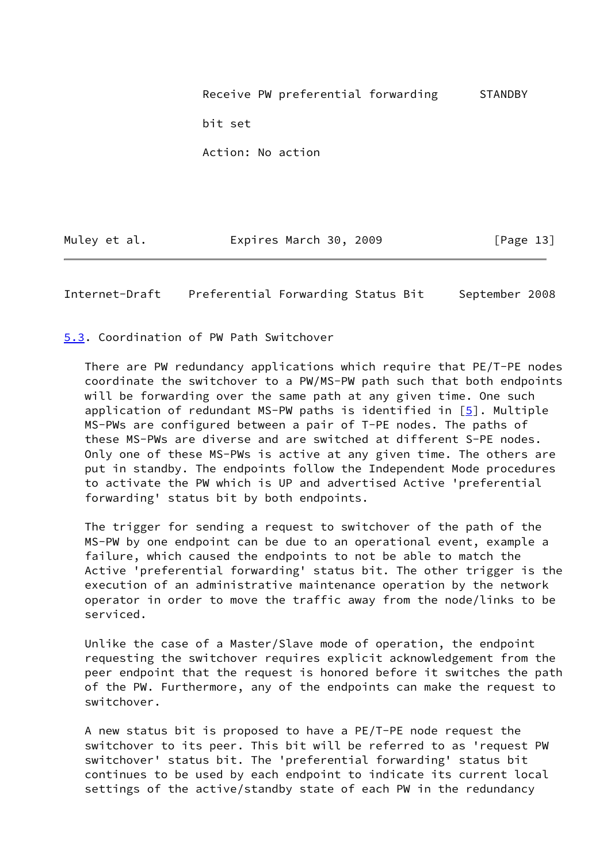Receive PW preferential forwarding STANDBY bit set Action: No action

Muley et al. **Expires March 30, 2009** [Page 13]

<span id="page-14-1"></span>Internet-Draft Preferential Forwarding Status Bit September 2008

<span id="page-14-0"></span>[5.3](#page-14-0). Coordination of PW Path Switchover

 There are PW redundancy applications which require that PE/T-PE nodes coordinate the switchover to a PW/MS-PW path such that both endpoints will be forwarding over the same path at any given time. One such application of redundant MS-PW paths is identified in  $[5]$  $[5]$ . Multiple MS-PWs are configured between a pair of T-PE nodes. The paths of these MS-PWs are diverse and are switched at different S-PE nodes. Only one of these MS-PWs is active at any given time. The others are put in standby. The endpoints follow the Independent Mode procedures to activate the PW which is UP and advertised Active 'preferential forwarding' status bit by both endpoints.

 The trigger for sending a request to switchover of the path of the MS-PW by one endpoint can be due to an operational event, example a failure, which caused the endpoints to not be able to match the Active 'preferential forwarding' status bit. The other trigger is the execution of an administrative maintenance operation by the network operator in order to move the traffic away from the node/links to be serviced.

 Unlike the case of a Master/Slave mode of operation, the endpoint requesting the switchover requires explicit acknowledgement from the peer endpoint that the request is honored before it switches the path of the PW. Furthermore, any of the endpoints can make the request to switchover.

 A new status bit is proposed to have a PE/T-PE node request the switchover to its peer. This bit will be referred to as 'request PW switchover' status bit. The 'preferential forwarding' status bit continues to be used by each endpoint to indicate its current local settings of the active/standby state of each PW in the redundancy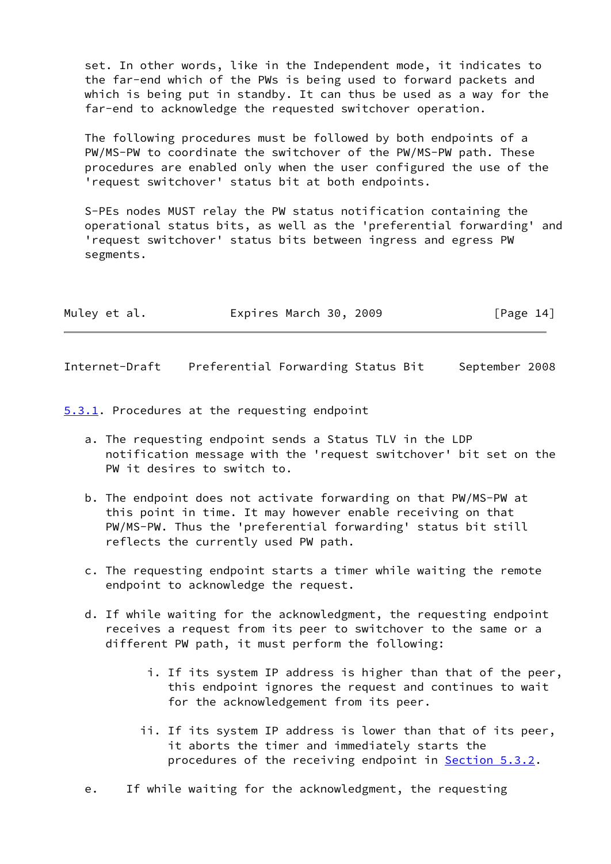set. In other words, like in the Independent mode, it indicates to the far-end which of the PWs is being used to forward packets and which is being put in standby. It can thus be used as a way for the far-end to acknowledge the requested switchover operation.

 The following procedures must be followed by both endpoints of a PW/MS-PW to coordinate the switchover of the PW/MS-PW path. These procedures are enabled only when the user configured the use of the 'request switchover' status bit at both endpoints.

 S-PEs nodes MUST relay the PW status notification containing the operational status bits, as well as the 'preferential forwarding' and 'request switchover' status bits between ingress and egress PW segments.

| Muley et al. | Expires March 30, 2009 |  | [Page 14] |
|--------------|------------------------|--|-----------|
|--------------|------------------------|--|-----------|

<span id="page-15-1"></span>Internet-Draft Preferential Forwarding Status Bit September 2008

<span id="page-15-0"></span>[5.3.1](#page-15-0). Procedures at the requesting endpoint

- a. The requesting endpoint sends a Status TLV in the LDP notification message with the 'request switchover' bit set on the PW it desires to switch to.
- b. The endpoint does not activate forwarding on that PW/MS-PW at this point in time. It may however enable receiving on that PW/MS-PW. Thus the 'preferential forwarding' status bit still reflects the currently used PW path.
- c. The requesting endpoint starts a timer while waiting the remote endpoint to acknowledge the request.
- d. If while waiting for the acknowledgment, the requesting endpoint receives a request from its peer to switchover to the same or a different PW path, it must perform the following:
	- i. If its system IP address is higher than that of the peer, this endpoint ignores the request and continues to wait for the acknowledgement from its peer.
	- ii. If its system IP address is lower than that of its peer, it aborts the timer and immediately starts the procedures of the receiving endpoint in **Section 5.3.2**.

e. If while waiting for the acknowledgment, the requesting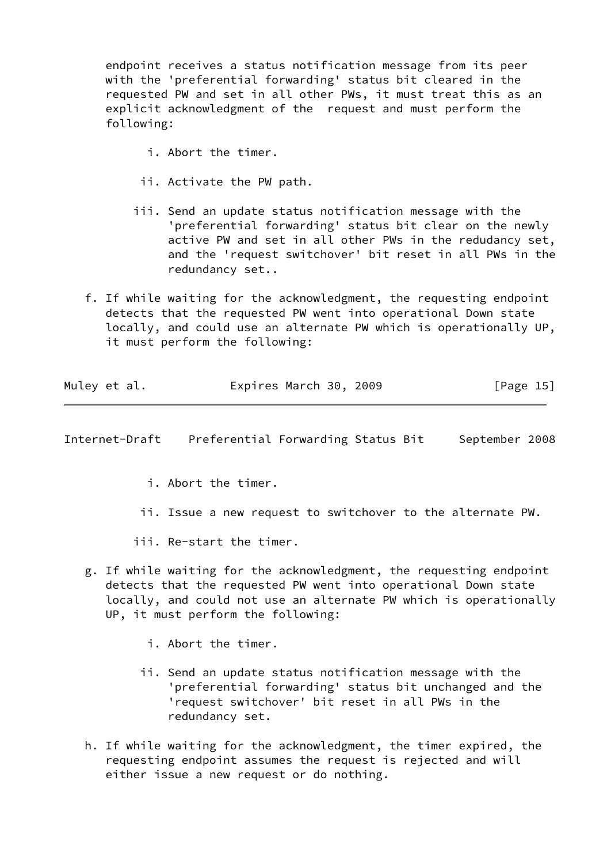endpoint receives a status notification message from its peer with the 'preferential forwarding' status bit cleared in the requested PW and set in all other PWs, it must treat this as an explicit acknowledgment of the request and must perform the following:

- i. Abort the timer.
- ii. Activate the PW path.
- iii. Send an update status notification message with the 'preferential forwarding' status bit clear on the newly active PW and set in all other PWs in the redudancy set, and the 'request switchover' bit reset in all PWs in the redundancy set..
- f. If while waiting for the acknowledgment, the requesting endpoint detects that the requested PW went into operational Down state locally, and could use an alternate PW which is operationally UP, it must perform the following:

| Muley et al. | Expires March 30, 2009 | [Page 15] |
|--------------|------------------------|-----------|
|              |                        |           |

<span id="page-16-0"></span>Internet-Draft Preferential Forwarding Status Bit September 2008

- i. Abort the timer.
- ii. Issue a new request to switchover to the alternate PW.
- iii. Re-start the timer.
- g. If while waiting for the acknowledgment, the requesting endpoint detects that the requested PW went into operational Down state locally, and could not use an alternate PW which is operationally UP, it must perform the following:
	- i. Abort the timer.
	- ii. Send an update status notification message with the 'preferential forwarding' status bit unchanged and the 'request switchover' bit reset in all PWs in the redundancy set.
- h. If while waiting for the acknowledgment, the timer expired, the requesting endpoint assumes the request is rejected and will either issue a new request or do nothing.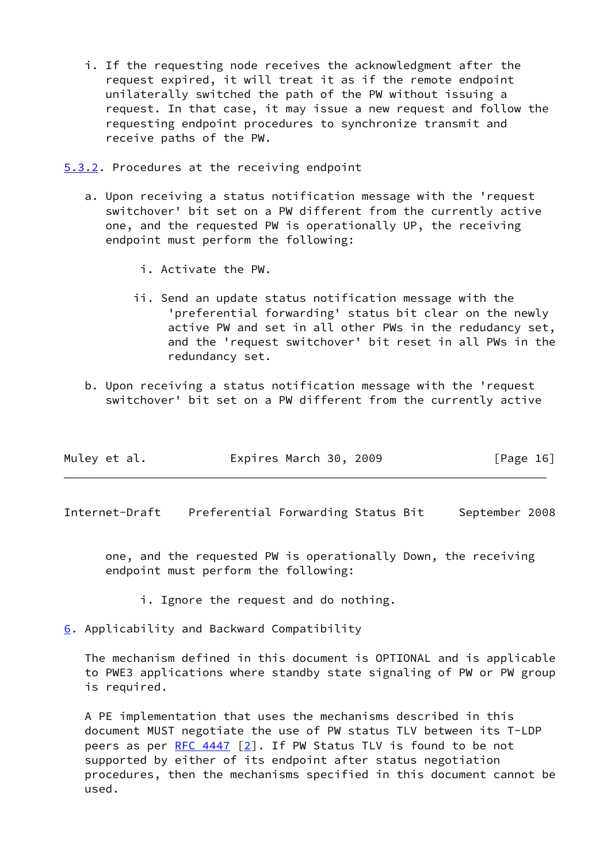- i. If the requesting node receives the acknowledgment after the request expired, it will treat it as if the remote endpoint unilaterally switched the path of the PW without issuing a request. In that case, it may issue a new request and follow the requesting endpoint procedures to synchronize transmit and receive paths of the PW.
- <span id="page-17-0"></span>[5.3.2](#page-17-0). Procedures at the receiving endpoint
	- a. Upon receiving a status notification message with the 'request switchover' bit set on a PW different from the currently active one, and the requested PW is operationally UP, the receiving endpoint must perform the following:
		- i. Activate the PW.
		- ii. Send an update status notification message with the 'preferential forwarding' status bit clear on the newly active PW and set in all other PWs in the redudancy set, and the 'request switchover' bit reset in all PWs in the redundancy set.
	- b. Upon receiving a status notification message with the 'request switchover' bit set on a PW different from the currently active

| Muley et al. | Expires March 30, 2009 | [Page 16] |
|--------------|------------------------|-----------|
|              |                        |           |

<span id="page-17-2"></span>Internet-Draft Preferential Forwarding Status Bit September 2008

 one, and the requested PW is operationally Down, the receiving endpoint must perform the following:

- i. Ignore the request and do nothing.
- <span id="page-17-1"></span>[6](#page-17-1). Applicability and Backward Compatibility

 The mechanism defined in this document is OPTIONAL and is applicable to PWE3 applications where standby state signaling of PW or PW group is required.

 A PE implementation that uses the mechanisms described in this document MUST negotiate the use of PW status TLV between its T-LDP peers as per RFC  $4447$  [[2\]](#page-19-7). If PW Status TLV is found to be not supported by either of its endpoint after status negotiation procedures, then the mechanisms specified in this document cannot be used.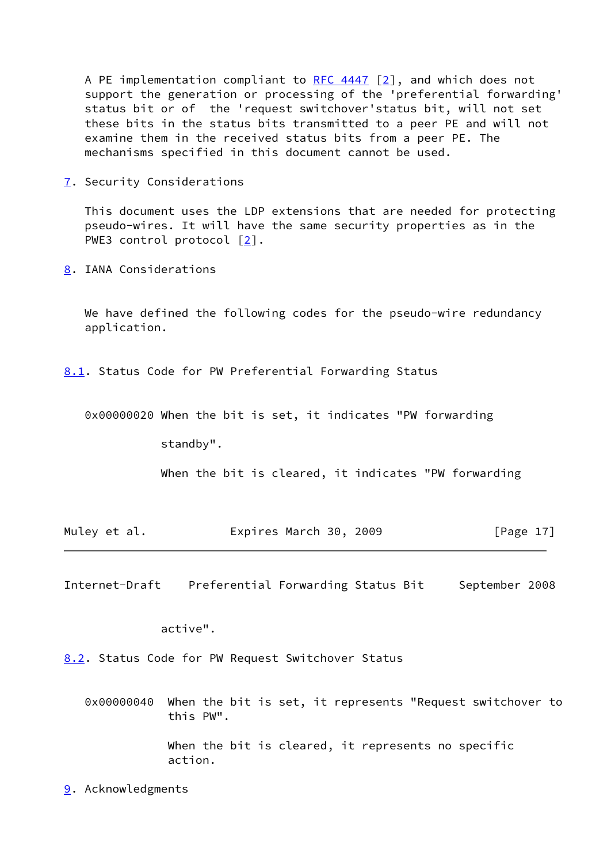A PE implementation compliant to  $RFC 4447 [2]$  $RFC 4447 [2]$ , and which does not support the generation or processing of the 'preferential forwarding' status bit or of the 'request switchover'status bit, will not set these bits in the status bits transmitted to a peer PE and will not examine them in the received status bits from a peer PE. The mechanisms specified in this document cannot be used.

<span id="page-18-0"></span>[7](#page-18-0). Security Considerations

 This document uses the LDP extensions that are needed for protecting pseudo-wires. It will have the same security properties as in the PWE3 control protocol [[2\]](#page-19-7).

<span id="page-18-1"></span>[8](#page-18-1). IANA Considerations

We have defined the following codes for the pseudo-wire redundancy application.

<span id="page-18-2"></span>[8.1](#page-18-2). Status Code for PW Preferential Forwarding Status

0x00000020 When the bit is set, it indicates "PW forwarding

standby".

When the bit is cleared, it indicates "PW forwarding

| Muley et al. | Expires March 30, 2009 |  | [Page $17$ ] |
|--------------|------------------------|--|--------------|
|--------------|------------------------|--|--------------|

<span id="page-18-4"></span>Internet-Draft Preferential Forwarding Status Bit September 2008

active".

<span id="page-18-3"></span>[8.2](#page-18-3). Status Code for PW Request Switchover Status

 0x00000040 When the bit is set, it represents "Request switchover to this PW".

> When the bit is cleared, it represents no specific action.

<span id="page-18-5"></span>[9](#page-18-5). Acknowledgments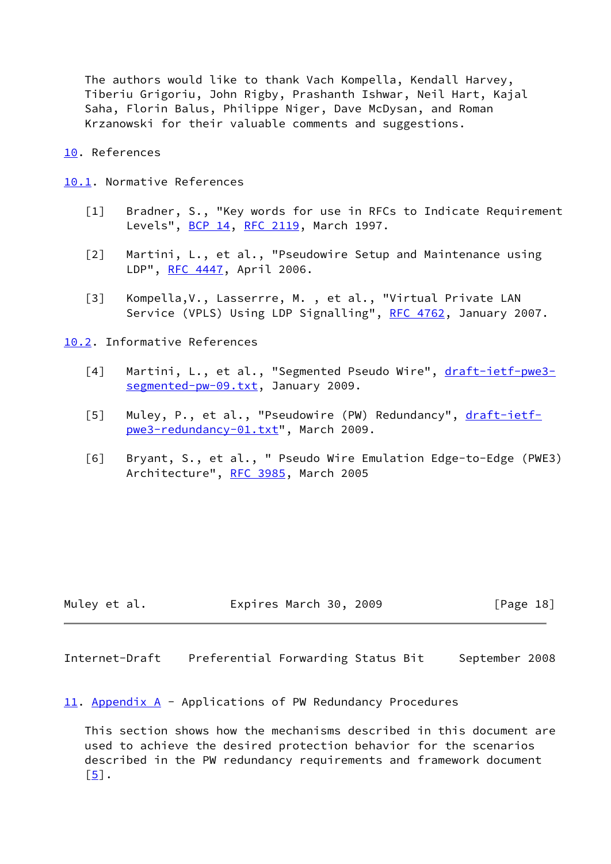The authors would like to thank Vach Kompella, Kendall Harvey, Tiberiu Grigoriu, John Rigby, Prashanth Ishwar, Neil Hart, Kajal Saha, Florin Balus, Philippe Niger, Dave McDysan, and Roman Krzanowski for their valuable comments and suggestions.

<span id="page-19-1"></span>[10.](#page-19-1) References

<span id="page-19-2"></span>[10.1](#page-19-2). Normative References

- <span id="page-19-0"></span>[1] Bradner, S., "Key words for use in RFCs to Indicate Requirement Levels", **[BCP 14](https://datatracker.ietf.org/doc/pdf/bcp14), RFC 2119**, March 1997.
- <span id="page-19-7"></span> [2] Martini, L., et al., "Pseudowire Setup and Maintenance using LDP", [RFC 4447,](https://datatracker.ietf.org/doc/pdf/rfc4447) April 2006.
- [3] Kompella,V., Lasserrre, M. , et al., "Virtual Private LAN Service (VPLS) Using LDP Signalling", [RFC 4762,](https://datatracker.ietf.org/doc/pdf/rfc4762) January 2007.

<span id="page-19-3"></span>[10.2](#page-19-3). Informative References

- <span id="page-19-8"></span>[4] Martini, L., et al., "Segmented Pseudo Wire", [draft-ietf-pwe3](https://datatracker.ietf.org/doc/pdf/draft-ietf-pwe3-segmented-pw-09.txt) [segmented-pw-09.txt](https://datatracker.ietf.org/doc/pdf/draft-ietf-pwe3-segmented-pw-09.txt), January 2009.
- <span id="page-19-6"></span>[5] Muley, P., et al., "Pseudowire (PW) Redundancy", [draft-ietf](https://datatracker.ietf.org/doc/pdf/draft-ietf-pwe3-redundancy-01.txt) [pwe3-redundancy-01.txt](https://datatracker.ietf.org/doc/pdf/draft-ietf-pwe3-redundancy-01.txt)", March 2009.
- <span id="page-19-9"></span> [6] Bryant, S., et al., " Pseudo Wire Emulation Edge-to-Edge (PWE3) Architecture", [RFC 3985](https://datatracker.ietf.org/doc/pdf/rfc3985), March 2005

| Muley et al. | Expires March 30, 2009 | [Page 18] |
|--------------|------------------------|-----------|
|--------------|------------------------|-----------|

<span id="page-19-5"></span>Internet-Draft Preferential Forwarding Status Bit September 2008

<span id="page-19-4"></span>[11.](#page-19-4) Appendix A - Applications of PW Redundancy Procedures

 This section shows how the mechanisms described in this document are used to achieve the desired protection behavior for the scenarios described in the PW redundancy requirements and framework document  $[5]$  $[5]$ .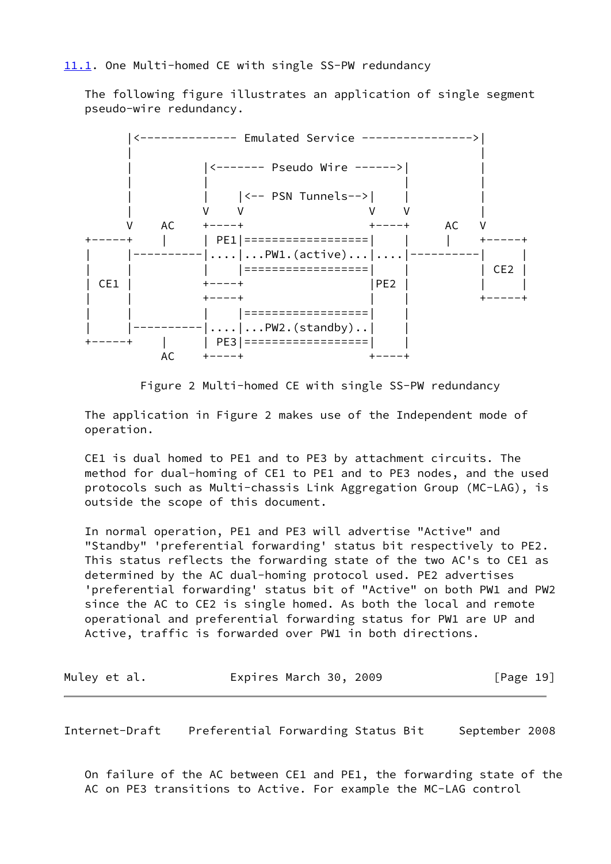<span id="page-20-0"></span> The following figure illustrates an application of single segment pseudo-wire redundancy.



Figure 2 Multi-homed CE with single SS-PW redundancy

 The application in Figure 2 makes use of the Independent mode of operation.

 CE1 is dual homed to PE1 and to PE3 by attachment circuits. The method for dual-homing of CE1 to PE1 and to PE3 nodes, and the used protocols such as Multi-chassis Link Aggregation Group (MC-LAG), is outside the scope of this document.

 In normal operation, PE1 and PE3 will advertise "Active" and "Standby" 'preferential forwarding' status bit respectively to PE2. This status reflects the forwarding state of the two AC's to CE1 as determined by the AC dual-homing protocol used. PE2 advertises 'preferential forwarding' status bit of "Active" on both PW1 and PW2 since the AC to CE2 is single homed. As both the local and remote operational and preferential forwarding status for PW1 are UP and Active, traffic is forwarded over PW1 in both directions.

| Muley et al. | Expires March 30, 2009 | [Page 19] |
|--------------|------------------------|-----------|
|--------------|------------------------|-----------|

Internet-Draft Preferential Forwarding Status Bit September 2008

 On failure of the AC between CE1 and PE1, the forwarding state of the AC on PE3 transitions to Active. For example the MC-LAG control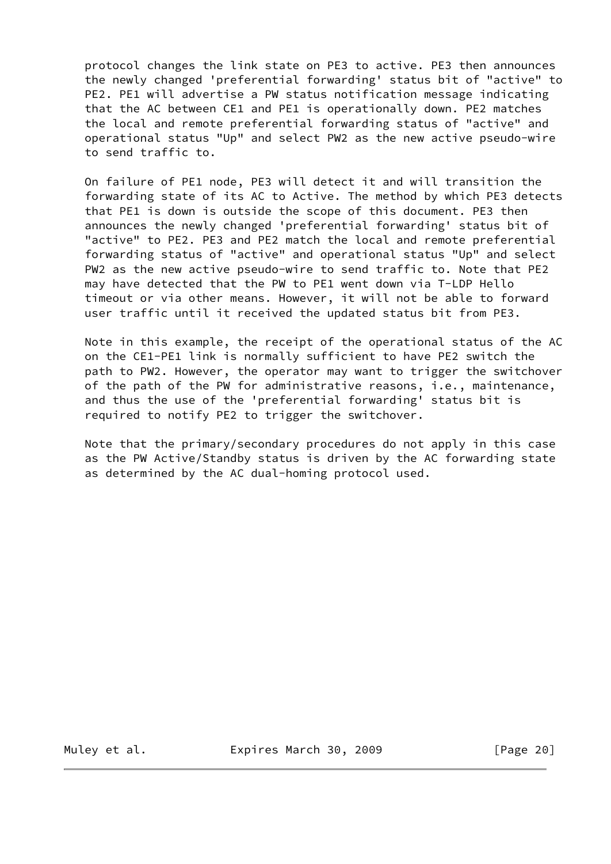protocol changes the link state on PE3 to active. PE3 then announces the newly changed 'preferential forwarding' status bit of "active" to PE2. PE1 will advertise a PW status notification message indicating that the AC between CE1 and PE1 is operationally down. PE2 matches the local and remote preferential forwarding status of "active" and operational status "Up" and select PW2 as the new active pseudo-wire to send traffic to.

 On failure of PE1 node, PE3 will detect it and will transition the forwarding state of its AC to Active. The method by which PE3 detects that PE1 is down is outside the scope of this document. PE3 then announces the newly changed 'preferential forwarding' status bit of "active" to PE2. PE3 and PE2 match the local and remote preferential forwarding status of "active" and operational status "Up" and select PW2 as the new active pseudo-wire to send traffic to. Note that PE2 may have detected that the PW to PE1 went down via T-LDP Hello timeout or via other means. However, it will not be able to forward user traffic until it received the updated status bit from PE3.

 Note in this example, the receipt of the operational status of the AC on the CE1-PE1 link is normally sufficient to have PE2 switch the path to PW2. However, the operator may want to trigger the switchover of the path of the PW for administrative reasons, i.e., maintenance, and thus the use of the 'preferential forwarding' status bit is required to notify PE2 to trigger the switchover.

 Note that the primary/secondary procedures do not apply in this case as the PW Active/Standby status is driven by the AC forwarding state as determined by the AC dual-homing protocol used.

Muley et al. **Expires March 30, 2009** [Page 20]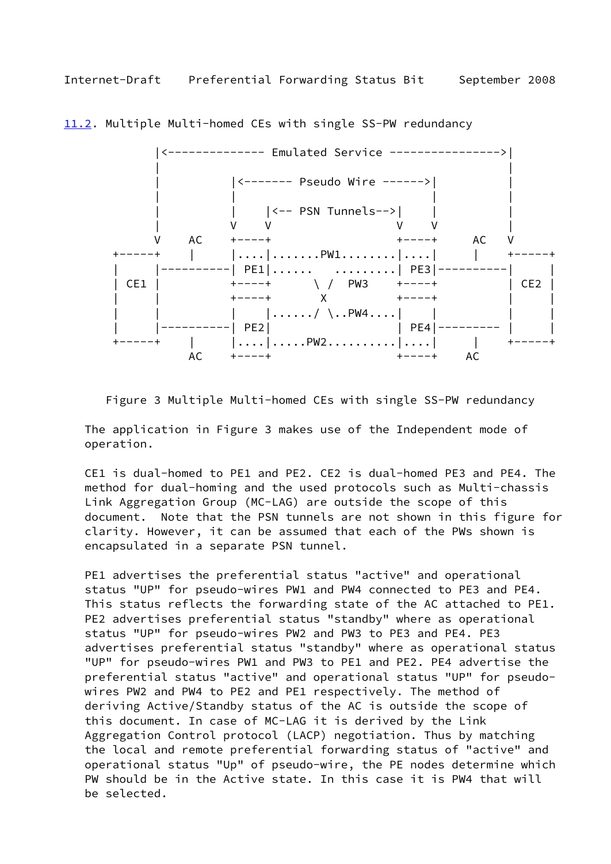

<span id="page-22-1"></span><span id="page-22-0"></span>[11.2](#page-22-0). Multiple Multi-homed CEs with single SS-PW redundancy

Figure 3 Multiple Multi-homed CEs with single SS-PW redundancy

 The application in Figure 3 makes use of the Independent mode of operation.

 CE1 is dual-homed to PE1 and PE2. CE2 is dual-homed PE3 and PE4. The method for dual-homing and the used protocols such as Multi-chassis Link Aggregation Group (MC-LAG) are outside the scope of this document. Note that the PSN tunnels are not shown in this figure for clarity. However, it can be assumed that each of the PWs shown is encapsulated in a separate PSN tunnel.

 PE1 advertises the preferential status "active" and operational status "UP" for pseudo-wires PW1 and PW4 connected to PE3 and PE4. This status reflects the forwarding state of the AC attached to PE1. PE2 advertises preferential status "standby" where as operational status "UP" for pseudo-wires PW2 and PW3 to PE3 and PE4. PE3 advertises preferential status "standby" where as operational status "UP" for pseudo-wires PW1 and PW3 to PE1 and PE2. PE4 advertise the preferential status "active" and operational status "UP" for pseudo wires PW2 and PW4 to PE2 and PE1 respectively. The method of deriving Active/Standby status of the AC is outside the scope of this document. In case of MC-LAG it is derived by the Link Aggregation Control protocol (LACP) negotiation. Thus by matching the local and remote preferential forwarding status of "active" and operational status "Up" of pseudo-wire, the PE nodes determine which PW should be in the Active state. In this case it is PW4 that will be selected.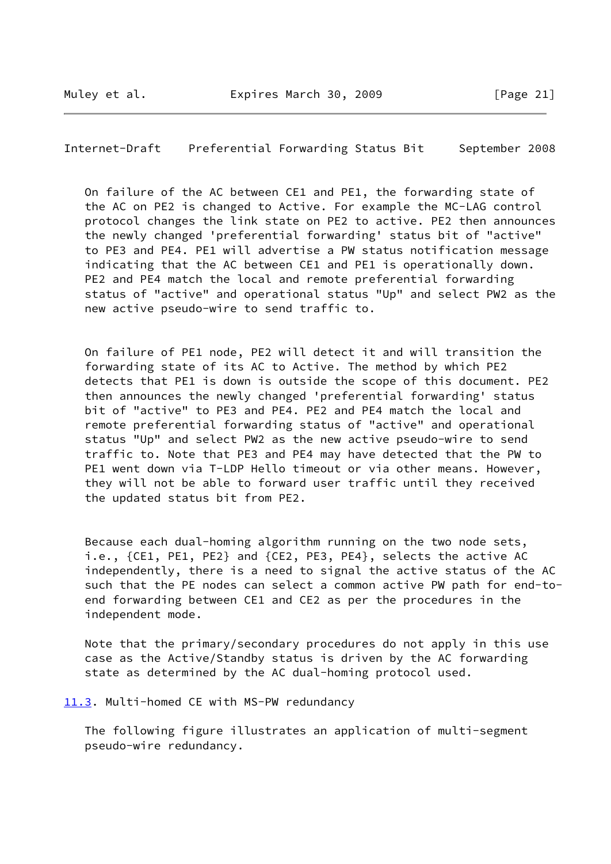<span id="page-23-1"></span>Internet-Draft Preferential Forwarding Status Bit September 2008

 On failure of the AC between CE1 and PE1, the forwarding state of the AC on PE2 is changed to Active. For example the MC-LAG control protocol changes the link state on PE2 to active. PE2 then announces the newly changed 'preferential forwarding' status bit of "active" to PE3 and PE4. PE1 will advertise a PW status notification message indicating that the AC between CE1 and PE1 is operationally down. PE2 and PE4 match the local and remote preferential forwarding status of "active" and operational status "Up" and select PW2 as the new active pseudo-wire to send traffic to.

 On failure of PE1 node, PE2 will detect it and will transition the forwarding state of its AC to Active. The method by which PE2 detects that PE1 is down is outside the scope of this document. PE2 then announces the newly changed 'preferential forwarding' status bit of "active" to PE3 and PE4. PE2 and PE4 match the local and remote preferential forwarding status of "active" and operational status "Up" and select PW2 as the new active pseudo-wire to send traffic to. Note that PE3 and PE4 may have detected that the PW to PE1 went down via T-LDP Hello timeout or via other means. However, they will not be able to forward user traffic until they received the updated status bit from PE2.

 Because each dual-homing algorithm running on the two node sets, i.e., {CE1, PE1, PE2} and {CE2, PE3, PE4}, selects the active AC independently, there is a need to signal the active status of the AC such that the PE nodes can select a common active PW path for end-to end forwarding between CE1 and CE2 as per the procedures in the independent mode.

 Note that the primary/secondary procedures do not apply in this use case as the Active/Standby status is driven by the AC forwarding state as determined by the AC dual-homing protocol used.

#### <span id="page-23-0"></span>[11.3](#page-23-0). Multi-homed CE with MS-PW redundancy

 The following figure illustrates an application of multi-segment pseudo-wire redundancy.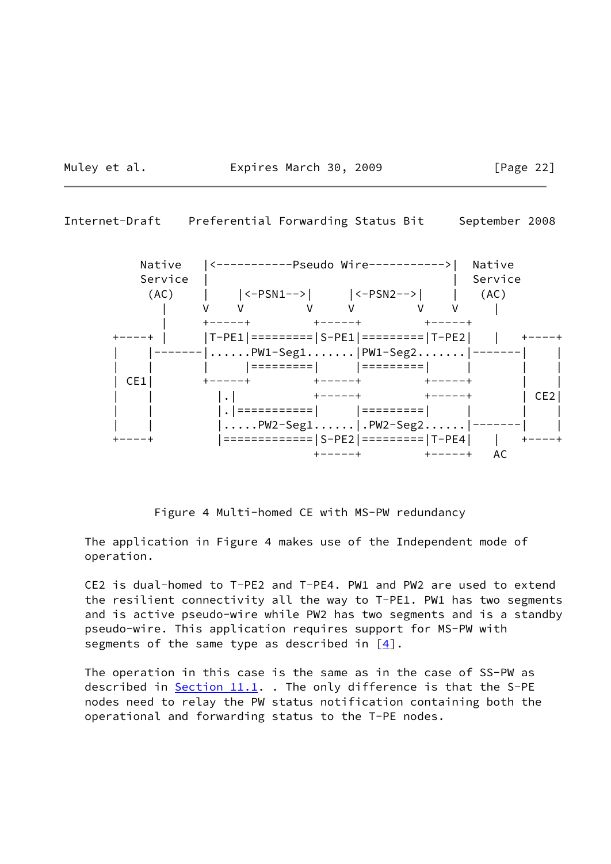Muley et al. **Expires March 30, 2009** [Page 22]





Figure 4 Multi-homed CE with MS-PW redundancy

 The application in Figure 4 makes use of the Independent mode of operation.

 CE2 is dual-homed to T-PE2 and T-PE4. PW1 and PW2 are used to extend the resilient connectivity all the way to T-PE1. PW1 has two segments and is active pseudo-wire while PW2 has two segments and is a standby pseudo-wire. This application requires support for MS-PW with segments of the same type as described in  $[4]$  $[4]$ .

 The operation in this case is the same as in the case of SS-PW as described in  $Section 11.1$ . The only difference is that the S-PE nodes need to relay the PW status notification containing both the operational and forwarding status to the T-PE nodes.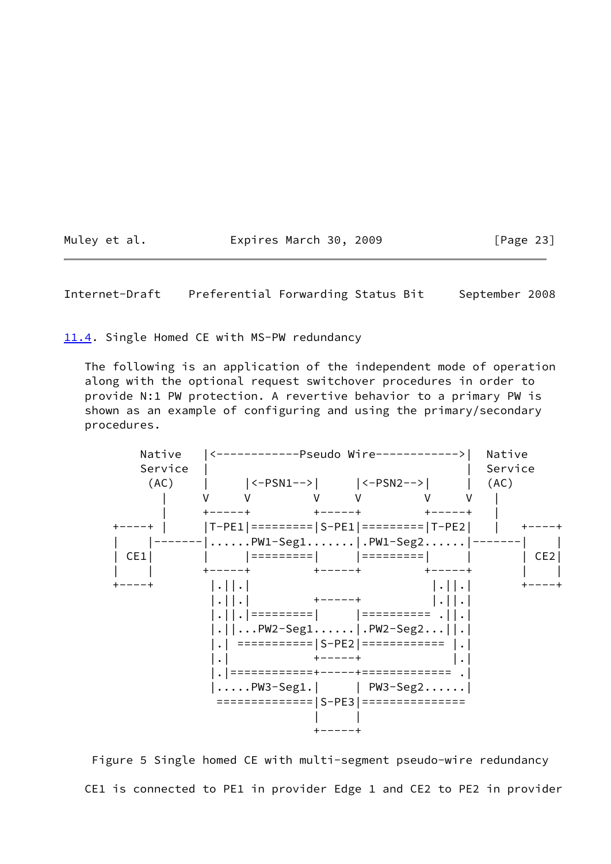Muley et al. **Expires March 30, 2009** [Page 23]

<span id="page-25-1"></span>Internet-Draft Preferential Forwarding Status Bit September 2008

<span id="page-25-0"></span>[11.4](#page-25-0). Single Homed CE with MS-PW redundancy

 The following is an application of the independent mode of operation along with the optional request switchover procedures in order to provide N:1 PW protection. A revertive behavior to a primary PW is shown as an example of configuring and using the primary/secondary procedures.



 Figure 5 Single homed CE with multi-segment pseudo-wire redundancy CE1 is connected to PE1 in provider Edge 1 and CE2 to PE2 in provider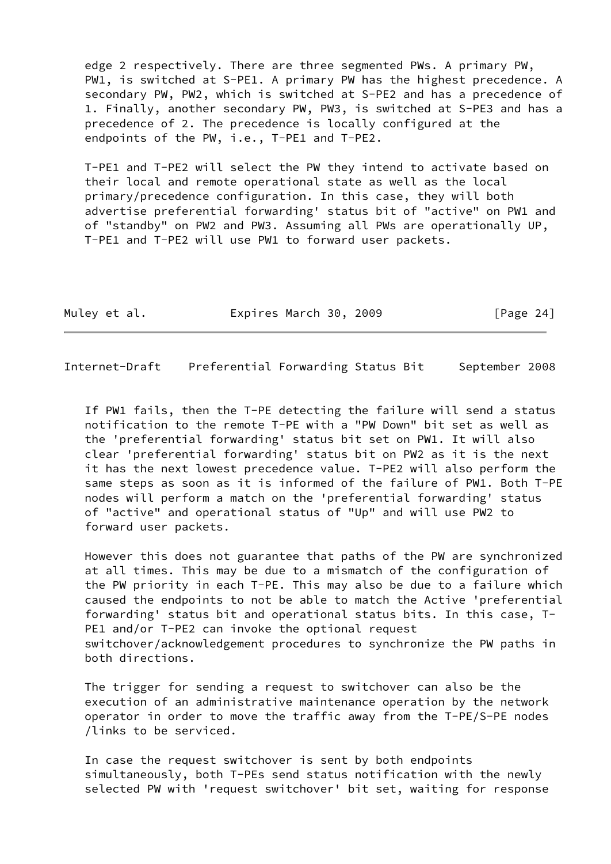edge 2 respectively. There are three segmented PWs. A primary PW, PW1, is switched at S-PE1. A primary PW has the highest precedence. A secondary PW, PW2, which is switched at S-PE2 and has a precedence of 1. Finally, another secondary PW, PW3, is switched at S-PE3 and has a precedence of 2. The precedence is locally configured at the endpoints of the PW, i.e., T-PE1 and T-PE2.

 T-PE1 and T-PE2 will select the PW they intend to activate based on their local and remote operational state as well as the local primary/precedence configuration. In this case, they will both advertise preferential forwarding' status bit of "active" on PW1 and of "standby" on PW2 and PW3. Assuming all PWs are operationally UP, T-PE1 and T-PE2 will use PW1 to forward user packets.

| Muley et al. | Expires March 30, 2009 |  | [Page 24] |
|--------------|------------------------|--|-----------|
|--------------|------------------------|--|-----------|

<span id="page-26-0"></span>Internet-Draft Preferential Forwarding Status Bit September 2008

 If PW1 fails, then the T-PE detecting the failure will send a status notification to the remote T-PE with a "PW Down" bit set as well as the 'preferential forwarding' status bit set on PW1. It will also clear 'preferential forwarding' status bit on PW2 as it is the next it has the next lowest precedence value. T-PE2 will also perform the same steps as soon as it is informed of the failure of PW1. Both T-PE nodes will perform a match on the 'preferential forwarding' status of "active" and operational status of "Up" and will use PW2 to forward user packets.

 However this does not guarantee that paths of the PW are synchronized at all times. This may be due to a mismatch of the configuration of the PW priority in each T-PE. This may also be due to a failure which caused the endpoints to not be able to match the Active 'preferential forwarding' status bit and operational status bits. In this case, T- PE1 and/or T-PE2 can invoke the optional request switchover/acknowledgement procedures to synchronize the PW paths in both directions.

 The trigger for sending a request to switchover can also be the execution of an administrative maintenance operation by the network operator in order to move the traffic away from the T-PE/S-PE nodes /links to be serviced.

 In case the request switchover is sent by both endpoints simultaneously, both T-PEs send status notification with the newly selected PW with 'request switchover' bit set, waiting for response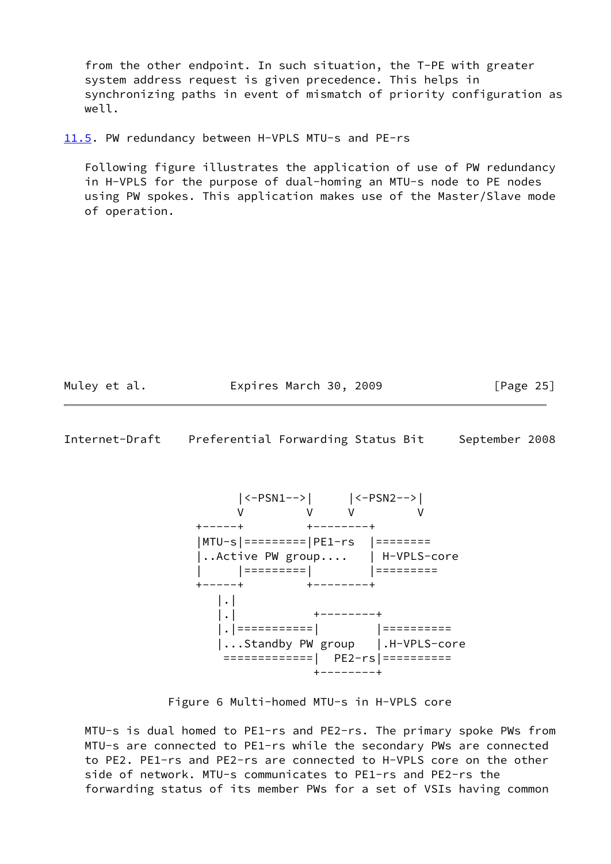from the other endpoint. In such situation, the T-PE with greater system address request is given precedence. This helps in synchronizing paths in event of mismatch of priority configuration as well.

<span id="page-27-0"></span>[11.5](#page-27-0). PW redundancy between H-VPLS MTU-s and PE-rs

 Following figure illustrates the application of use of PW redundancy in H-VPLS for the purpose of dual-homing an MTU-s node to PE nodes using PW spokes. This application makes use of the Master/Slave mode of operation.

| Muley et al. | Expires March 30, 2009 |  |  | [Page 25] |  |
|--------------|------------------------|--|--|-----------|--|
|--------------|------------------------|--|--|-----------|--|

Internet-Draft Preferential Forwarding Status Bit September 2008



Figure 6 Multi-homed MTU-s in H-VPLS core

 MTU-s is dual homed to PE1-rs and PE2-rs. The primary spoke PWs from MTU-s are connected to PE1-rs while the secondary PWs are connected to PE2. PE1-rs and PE2-rs are connected to H-VPLS core on the other side of network. MTU-s communicates to PE1-rs and PE2-rs the forwarding status of its member PWs for a set of VSIs having common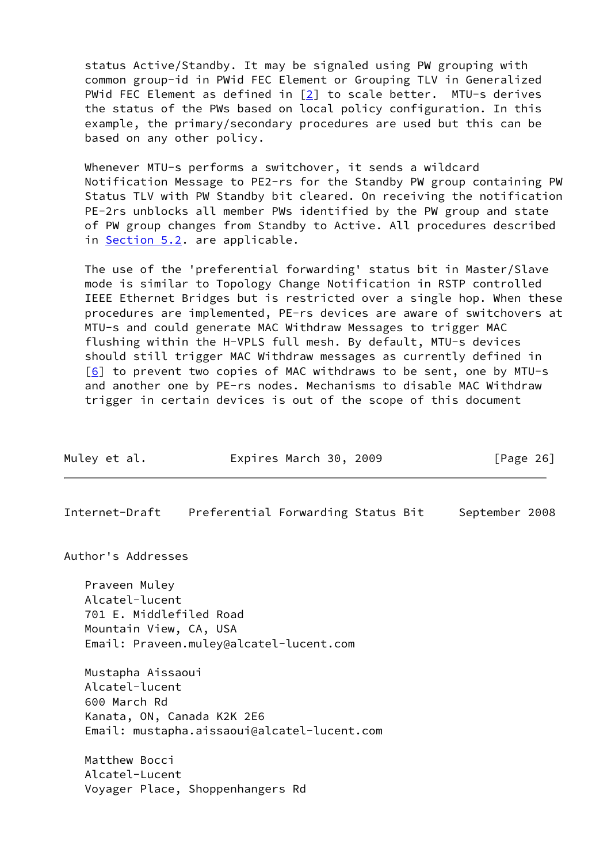status Active/Standby. It may be signaled using PW grouping with common group-id in PWid FEC Element or Grouping TLV in Generalized PWid FEC Element as defined in [\[2](#page-19-7)] to scale better. MTU-s derives the status of the PWs based on local policy configuration. In this example, the primary/secondary procedures are used but this can be based on any other policy.

 Whenever MTU-s performs a switchover, it sends a wildcard Notification Message to PE2-rs for the Standby PW group containing PW Status TLV with PW Standby bit cleared. On receiving the notification PE-2rs unblocks all member PWs identified by the PW group and state of PW group changes from Standby to Active. All procedures described in [Section 5.2](#page-11-0). are applicable.

 The use of the 'preferential forwarding' status bit in Master/Slave mode is similar to Topology Change Notification in RSTP controlled IEEE Ethernet Bridges but is restricted over a single hop. When these procedures are implemented, PE-rs devices are aware of switchovers at MTU-s and could generate MAC Withdraw Messages to trigger MAC flushing within the H-VPLS full mesh. By default, MTU-s devices should still trigger MAC Withdraw messages as currently defined in  $[6]$  $[6]$  to prevent two copies of MAC withdraws to be sent, one by MTU-s and another one by PE-rs nodes. Mechanisms to disable MAC Withdraw trigger in certain devices is out of the scope of this document

<span id="page-28-0"></span>

| Muley et al.                                                                         |                                                                           | Expires March 30, 2009 |                | [Page 26] |
|--------------------------------------------------------------------------------------|---------------------------------------------------------------------------|------------------------|----------------|-----------|
| Internet-Draft                                                                       | Preferential Forwarding Status Bit                                        |                        | September 2008 |           |
| Author's Addresses                                                                   |                                                                           |                        |                |           |
| Praveen Muley<br>Alcatel-lucent<br>701 E. Middlefiled Road<br>Mountain View, CA, USA | Email: Praveen.muley@alcatel-lucent.com                                   |                        |                |           |
| Mustapha Aissaoui<br>Alcatel-lucent<br>600 March Rd                                  | Kanata, ON, Canada K2K 2E6<br>Email: mustapha.aissaoui@alcatel-lucent.com |                        |                |           |
| Matthew Bocci<br>Alcatel-Lucent                                                      |                                                                           |                        |                |           |

Voyager Place, Shoppenhangers Rd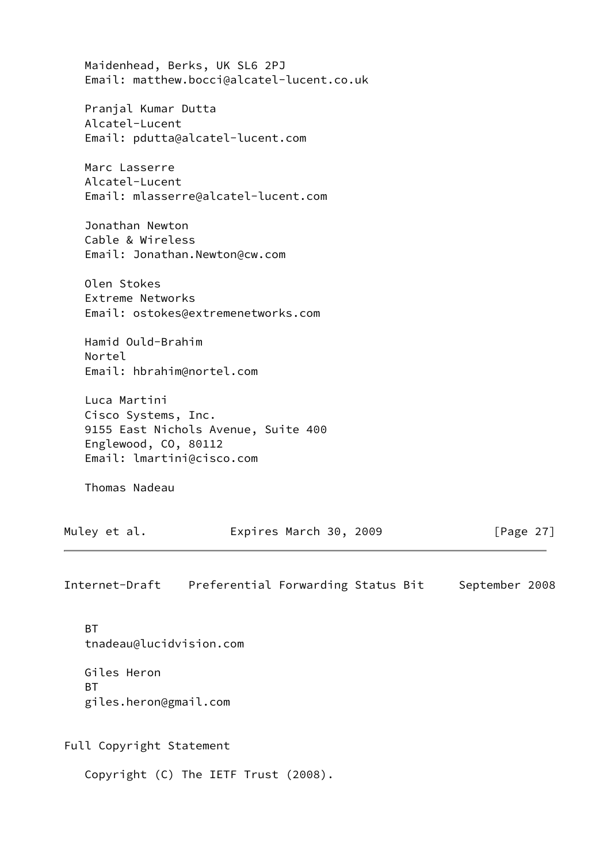| Maidenhead, Berks, UK SL6 2PJ<br>Email: matthew.bocci@alcatel-lucent.co.uk                                                      |                |
|---------------------------------------------------------------------------------------------------------------------------------|----------------|
| Pranjal Kumar Dutta<br>Alcatel-Lucent<br>Email: pdutta@alcatel-lucent.com                                                       |                |
| Marc Lasserre<br>Alcatel-Lucent<br>Email: mlasserre@alcatel-lucent.com                                                          |                |
| Jonathan Newton<br>Cable & Wireless<br>Email: Jonathan.Newton@cw.com                                                            |                |
| Olen Stokes<br>Extreme Networks<br>Email: ostokes@extremenetworks.com                                                           |                |
| Hamid Ould-Brahim<br>Nortel<br>Email: hbrahim@nortel.com                                                                        |                |
| Luca Martini<br>Cisco Systems, Inc.<br>9155 East Nichols Avenue, Suite 400<br>Englewood, CO, 80112<br>Email: lmartini@cisco.com |                |
| Thomas Nadeau                                                                                                                   |                |
| Muley et al.<br>Expires March 30, 2009                                                                                          | [Page $27$ ]   |
| Internet-Draft<br>Preferential Forwarding Status Bit                                                                            | September 2008 |
| <b>BT</b><br>tnadeau@lucidvision.com                                                                                            |                |

<span id="page-29-0"></span> Giles Heron BT giles.heron@gmail.com

Full Copyright Statement

Copyright (C) The IETF Trust (2008).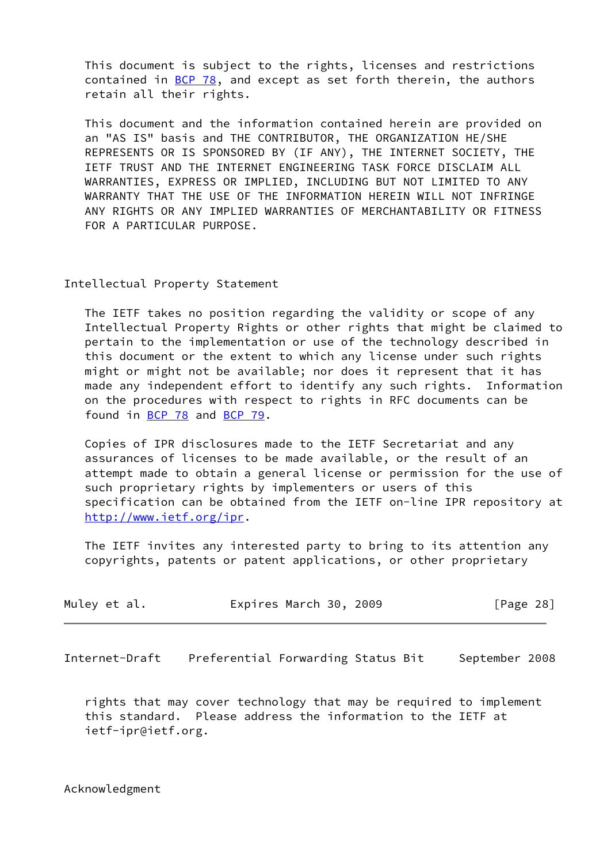This document is subject to the rights, licenses and restrictions contained in  $\underline{BCP}$  78, and except as set forth therein, the authors retain all their rights.

 This document and the information contained herein are provided on an "AS IS" basis and THE CONTRIBUTOR, THE ORGANIZATION HE/SHE REPRESENTS OR IS SPONSORED BY (IF ANY), THE INTERNET SOCIETY, THE IETF TRUST AND THE INTERNET ENGINEERING TASK FORCE DISCLAIM ALL WARRANTIES, EXPRESS OR IMPLIED, INCLUDING BUT NOT LIMITED TO ANY WARRANTY THAT THE USE OF THE INFORMATION HEREIN WILL NOT INFRINGE ANY RIGHTS OR ANY IMPLIED WARRANTIES OF MERCHANTABILITY OR FITNESS FOR A PARTICULAR PURPOSE.

### Intellectual Property Statement

 The IETF takes no position regarding the validity or scope of any Intellectual Property Rights or other rights that might be claimed to pertain to the implementation or use of the technology described in this document or the extent to which any license under such rights might or might not be available; nor does it represent that it has made any independent effort to identify any such rights. Information on the procedures with respect to rights in RFC documents can be found in [BCP 78](https://datatracker.ietf.org/doc/pdf/bcp78) and [BCP 79](https://datatracker.ietf.org/doc/pdf/bcp79).

 Copies of IPR disclosures made to the IETF Secretariat and any assurances of licenses to be made available, or the result of an attempt made to obtain a general license or permission for the use of such proprietary rights by implementers or users of this specification can be obtained from the IETF on-line IPR repository at <http://www.ietf.org/ipr>.

 The IETF invites any interested party to bring to its attention any copyrights, patents or patent applications, or other proprietary

| Muley et al. | Expires March 30, 2009 |  | [Page 28] |  |
|--------------|------------------------|--|-----------|--|
|--------------|------------------------|--|-----------|--|

<span id="page-30-0"></span>Internet-Draft Preferential Forwarding Status Bit September 2008

 rights that may cover technology that may be required to implement this standard. Please address the information to the IETF at ietf-ipr@ietf.org.